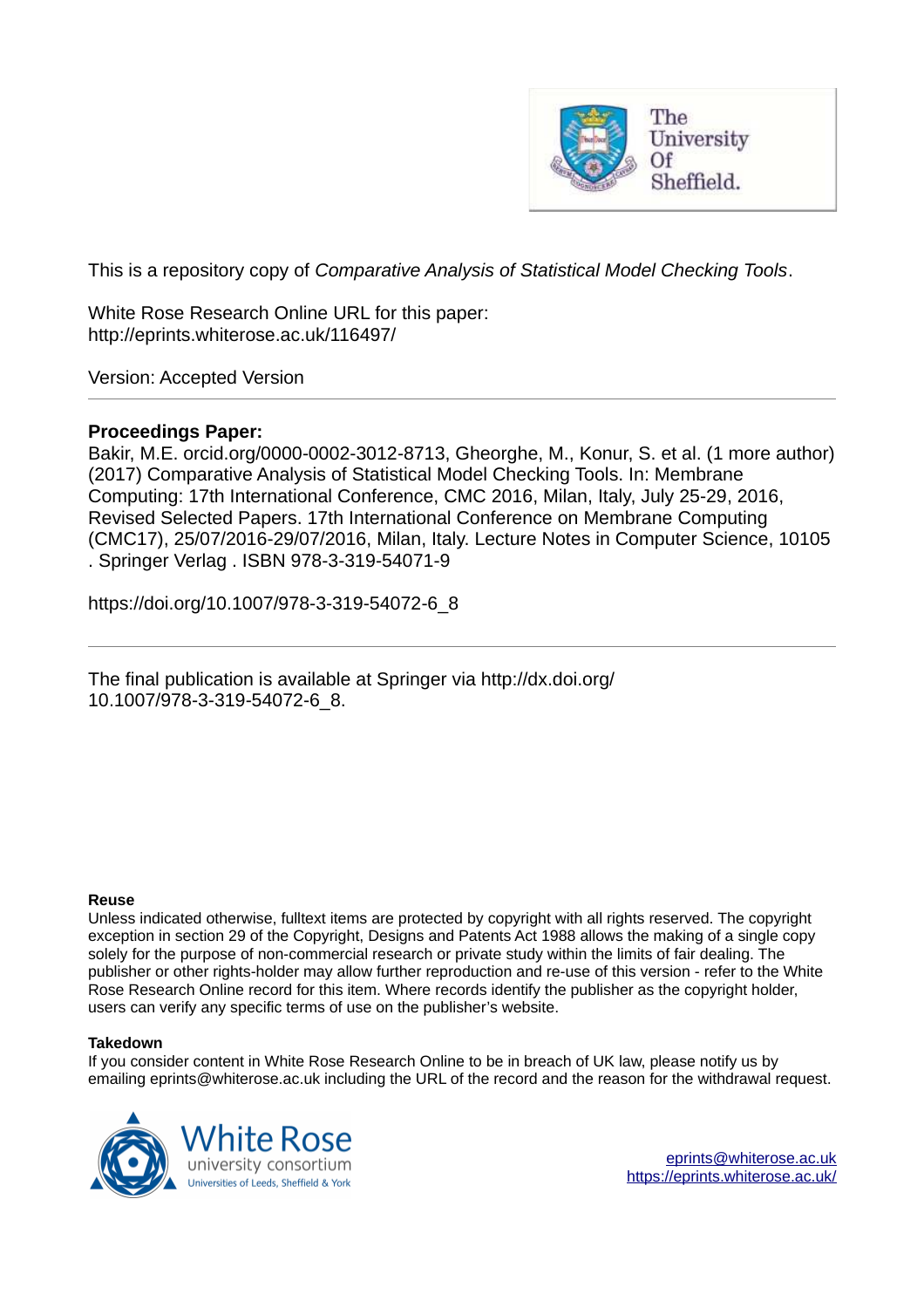

This is a repository copy of *Comparative Analysis of Statistical Model Checking Tools*.

White Rose Research Online URL for this paper: http://eprints.whiterose.ac.uk/116497/

Version: Accepted Version

## **Proceedings Paper:**

Bakir, M.E. orcid.org/0000-0002-3012-8713, Gheorghe, M., Konur, S. et al. (1 more author) (2017) Comparative Analysis of Statistical Model Checking Tools. In: Membrane Computing: 17th International Conference, CMC 2016, Milan, Italy, July 25-29, 2016, Revised Selected Papers. 17th International Conference on Membrane Computing (CMC17), 25/07/2016-29/07/2016, Milan, Italy. Lecture Notes in Computer Science, 10105 . Springer Verlag . ISBN 978-3-319-54071-9

https://doi.org/10.1007/978-3-319-54072-6\_8

The final publication is available at Springer via http://dx.doi.org/ 10.1007/978-3-319-54072-6\_8.

## **Reuse**

Unless indicated otherwise, fulltext items are protected by copyright with all rights reserved. The copyright exception in section 29 of the Copyright, Designs and Patents Act 1988 allows the making of a single copy solely for the purpose of non-commercial research or private study within the limits of fair dealing. The publisher or other rights-holder may allow further reproduction and re-use of this version - refer to the White Rose Research Online record for this item. Where records identify the publisher as the copyright holder, users can verify any specific terms of use on the publisher's website.

## **Takedown**

If you consider content in White Rose Research Online to be in breach of UK law, please notify us by emailing eprints@whiterose.ac.uk including the URL of the record and the reason for the withdrawal request.

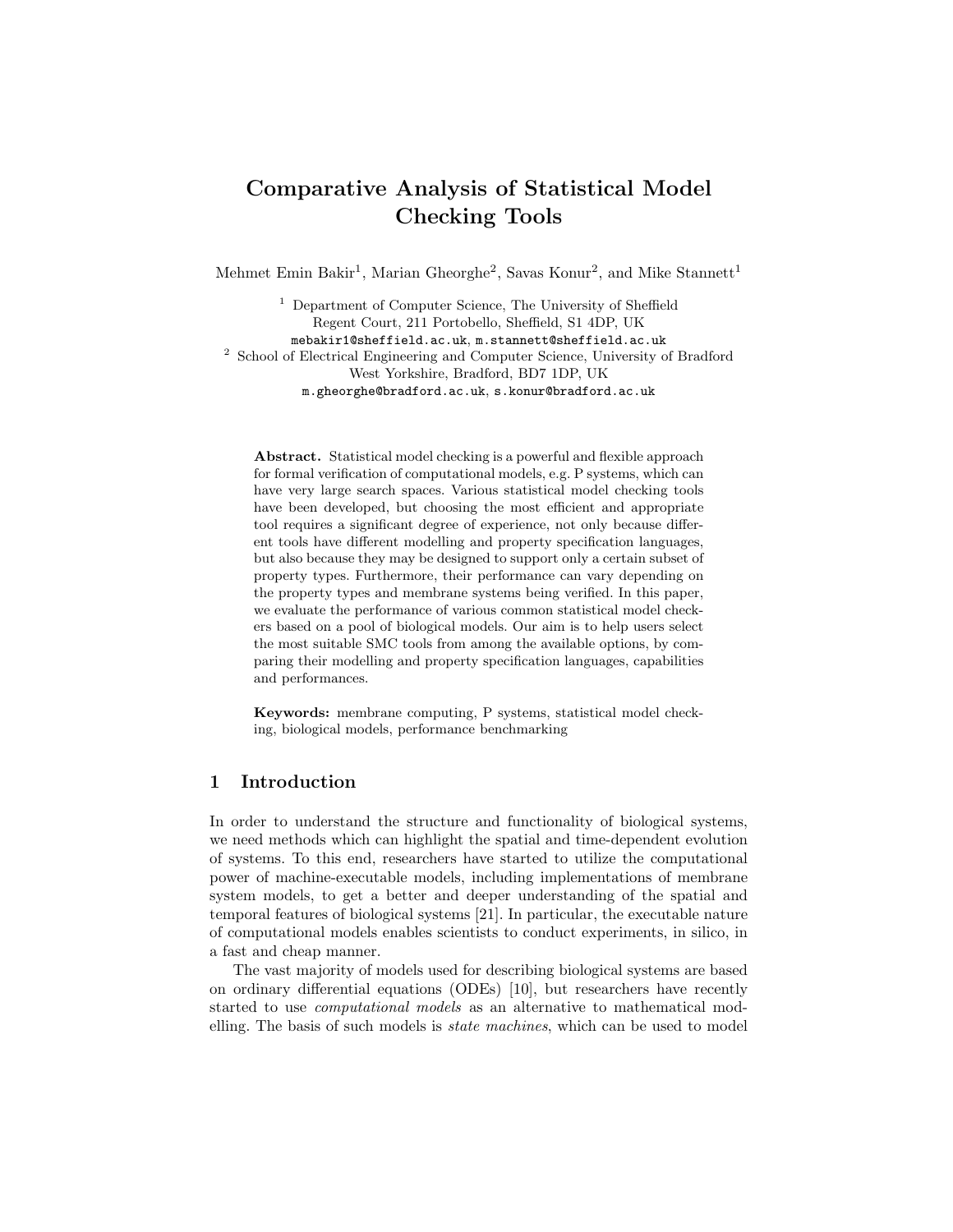# Comparative Analysis of Statistical Model Checking Tools

Mehmet Emin Bakir<sup>1</sup>, Marian Gheorghe<sup>2</sup>, Savas Konur<sup>2</sup>, and Mike Stannett<sup>1</sup>

<sup>1</sup> Department of Computer Science, The University of Sheffield Regent Court, 211 Portobello, Sheffield, S1 4DP, UK mebakir1@sheffield.ac.uk, m.stannett@sheffield.ac.uk <sup>2</sup> School of Electrical Engineering and Computer Science, University of Bradford West Yorkshire, Bradford, BD7 1DP, UK m.gheorghe@bradford.ac.uk, s.konur@bradford.ac.uk

Abstract. Statistical model checking is a powerful and flexible approach for formal verification of computational models, e.g. P systems, which can have very large search spaces. Various statistical model checking tools have been developed, but choosing the most efficient and appropriate tool requires a significant degree of experience, not only because different tools have different modelling and property specification languages, but also because they may be designed to support only a certain subset of property types. Furthermore, their performance can vary depending on the property types and membrane systems being verified. In this paper, we evaluate the performance of various common statistical model checkers based on a pool of biological models. Our aim is to help users select the most suitable SMC tools from among the available options, by comparing their modelling and property specification languages, capabilities and performances.

Keywords: membrane computing, P systems, statistical model checking, biological models, performance benchmarking

## 1 Introduction

In order to understand the structure and functionality of biological systems, we need methods which can highlight the spatial and time-dependent evolution of systems. To this end, researchers have started to utilize the computational power of machine-executable models, including implementations of membrane system models, to get a better and deeper understanding of the spatial and temporal features of biological systems [21]. In particular, the executable nature of computational models enables scientists to conduct experiments, in silico, in a fast and cheap manner.

The vast majority of models used for describing biological systems are based on ordinary differential equations (ODEs) [10], but researchers have recently started to use computational models as an alternative to mathematical modelling. The basis of such models is state machines, which can be used to model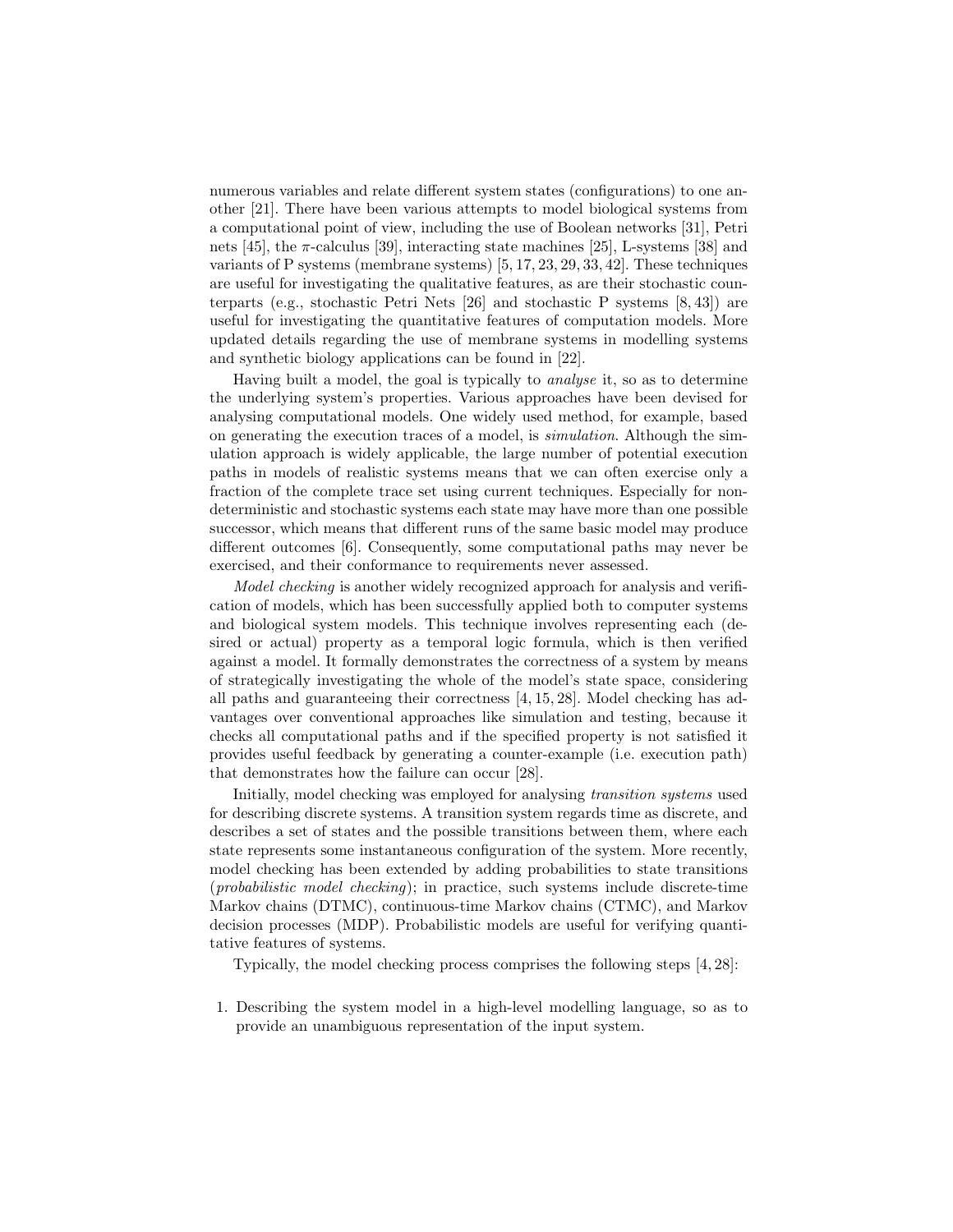numerous variables and relate different system states (configurations) to one another [21]. There have been various attempts to model biological systems from a computational point of view, including the use of Boolean networks [31], Petri nets [45], the π-calculus [39], interacting state machines [25], L-systems [38] and variants of P systems (membrane systems) [5, 17, 23, 29, 33, 42]. These techniques are useful for investigating the qualitative features, as are their stochastic counterparts (e.g., stochastic Petri Nets [26] and stochastic P systems [8, 43]) are useful for investigating the quantitative features of computation models. More updated details regarding the use of membrane systems in modelling systems and synthetic biology applications can be found in [22].

Having built a model, the goal is typically to analyse it, so as to determine the underlying system's properties. Various approaches have been devised for analysing computational models. One widely used method, for example, based on generating the execution traces of a model, is simulation. Although the simulation approach is widely applicable, the large number of potential execution paths in models of realistic systems means that we can often exercise only a fraction of the complete trace set using current techniques. Especially for nondeterministic and stochastic systems each state may have more than one possible successor, which means that different runs of the same basic model may produce different outcomes [6]. Consequently, some computational paths may never be exercised, and their conformance to requirements never assessed.

Model checking is another widely recognized approach for analysis and verification of models, which has been successfully applied both to computer systems and biological system models. This technique involves representing each (desired or actual) property as a temporal logic formula, which is then verified against a model. It formally demonstrates the correctness of a system by means of strategically investigating the whole of the model's state space, considering all paths and guaranteeing their correctness  $[4, 15, 28]$ . Model checking has advantages over conventional approaches like simulation and testing, because it checks all computational paths and if the specified property is not satisfied it provides useful feedback by generating a counter-example (i.e. execution path) that demonstrates how the failure can occur [28].

Initially, model checking was employed for analysing transition systems used for describing discrete systems. A transition system regards time as discrete, and describes a set of states and the possible transitions between them, where each state represents some instantaneous configuration of the system. More recently, model checking has been extended by adding probabilities to state transitions (probabilistic model checking); in practice, such systems include discrete-time Markov chains (DTMC), continuous-time Markov chains (CTMC), and Markov decision processes (MDP). Probabilistic models are useful for verifying quantitative features of systems.

Typically, the model checking process comprises the following steps [4, 28]:

1. Describing the system model in a high-level modelling language, so as to provide an unambiguous representation of the input system.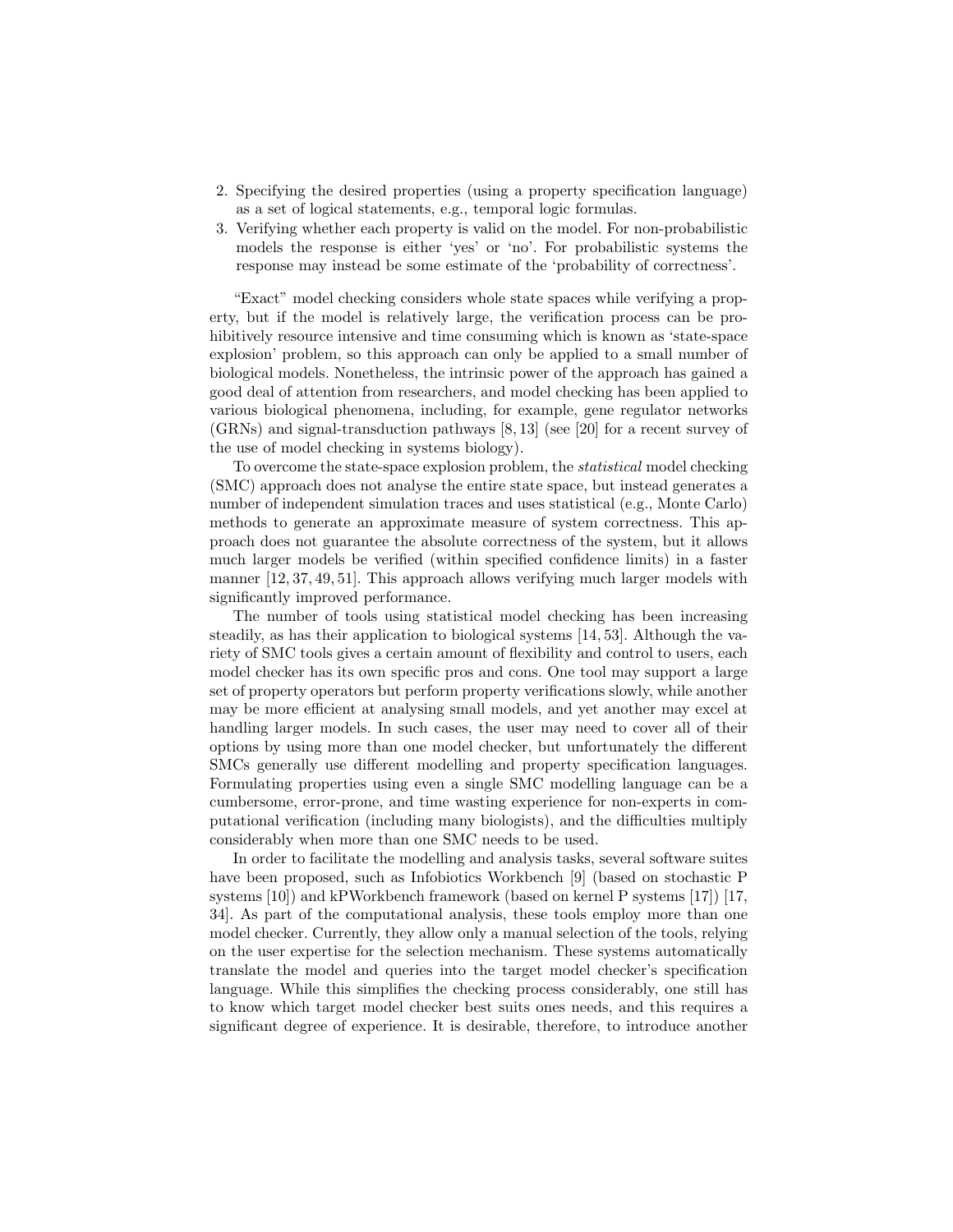- 2. Specifying the desired properties (using a property specification language) as a set of logical statements, e.g., temporal logic formulas.
- 3. Verifying whether each property is valid on the model. For non-probabilistic models the response is either 'yes' or 'no'. For probabilistic systems the response may instead be some estimate of the 'probability of correctness'.

"Exact" model checking considers whole state spaces while verifying a property, but if the model is relatively large, the verification process can be prohibitively resource intensive and time consuming which is known as 'state-space explosion' problem, so this approach can only be applied to a small number of biological models. Nonetheless, the intrinsic power of the approach has gained a good deal of attention from researchers, and model checking has been applied to various biological phenomena, including, for example, gene regulator networks (GRNs) and signal-transduction pathways [8, 13] (see [20] for a recent survey of the use of model checking in systems biology).

To overcome the state-space explosion problem, the statistical model checking (SMC) approach does not analyse the entire state space, but instead generates a number of independent simulation traces and uses statistical (e.g., Monte Carlo) methods to generate an approximate measure of system correctness. This approach does not guarantee the absolute correctness of the system, but it allows much larger models be verified (within specified confidence limits) in a faster manner [12, 37, 49, 51]. This approach allows verifying much larger models with significantly improved performance.

The number of tools using statistical model checking has been increasing steadily, as has their application to biological systems [14, 53]. Although the variety of SMC tools gives a certain amount of flexibility and control to users, each model checker has its own specific pros and cons. One tool may support a large set of property operators but perform property verifications slowly, while another may be more efficient at analysing small models, and yet another may excel at handling larger models. In such cases, the user may need to cover all of their options by using more than one model checker, but unfortunately the different SMCs generally use different modelling and property specification languages. Formulating properties using even a single SMC modelling language can be a cumbersome, error-prone, and time wasting experience for non-experts in computational verification (including many biologists), and the difficulties multiply considerably when more than one SMC needs to be used.

In order to facilitate the modelling and analysis tasks, several software suites have been proposed, such as Infobiotics Workbench [9] (based on stochastic P systems [10]) and kPWorkbench framework (based on kernel P systems [17]) [17, 34]. As part of the computational analysis, these tools employ more than one model checker. Currently, they allow only a manual selection of the tools, relying on the user expertise for the selection mechanism. These systems automatically translate the model and queries into the target model checker's specification language. While this simplifies the checking process considerably, one still has to know which target model checker best suits ones needs, and this requires a significant degree of experience. It is desirable, therefore, to introduce another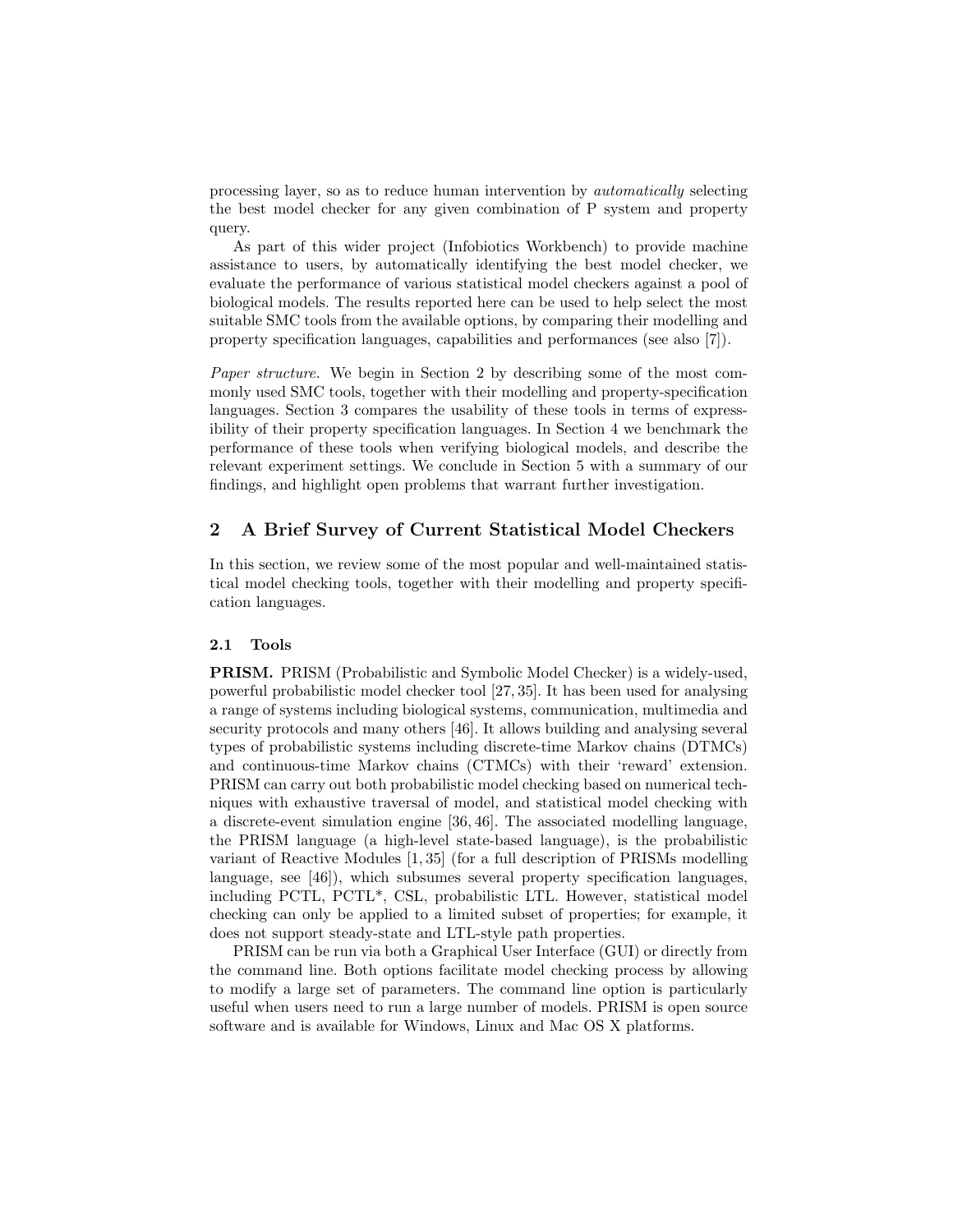processing layer, so as to reduce human intervention by automatically selecting the best model checker for any given combination of P system and property query.

As part of this wider project (Infobiotics Workbench) to provide machine assistance to users, by automatically identifying the best model checker, we evaluate the performance of various statistical model checkers against a pool of biological models. The results reported here can be used to help select the most suitable SMC tools from the available options, by comparing their modelling and property specification languages, capabilities and performances (see also [7]).

Paper structure. We begin in Section 2 by describing some of the most commonly used SMC tools, together with their modelling and property-specification languages. Section 3 compares the usability of these tools in terms of expressibility of their property specification languages. In Section 4 we benchmark the performance of these tools when verifying biological models, and describe the relevant experiment settings. We conclude in Section 5 with a summary of our findings, and highlight open problems that warrant further investigation.

## 2 A Brief Survey of Current Statistical Model Checkers

In this section, we review some of the most popular and well-maintained statistical model checking tools, together with their modelling and property specification languages.

#### 2.1 Tools

PRISM. PRISM (Probabilistic and Symbolic Model Checker) is a widely-used, powerful probabilistic model checker tool [27, 35]. It has been used for analysing a range of systems including biological systems, communication, multimedia and security protocols and many others [46]. It allows building and analysing several types of probabilistic systems including discrete-time Markov chains (DTMCs) and continuous-time Markov chains (CTMCs) with their 'reward' extension. PRISM can carry out both probabilistic model checking based on numerical techniques with exhaustive traversal of model, and statistical model checking with a discrete-event simulation engine [36, 46]. The associated modelling language, the PRISM language (a high-level state-based language), is the probabilistic variant of Reactive Modules [1, 35] (for a full description of PRISMs modelling language, see [46]), which subsumes several property specification languages, including PCTL, PCTL\*, CSL, probabilistic LTL. However, statistical model checking can only be applied to a limited subset of properties; for example, it does not support steady-state and LTL-style path properties.

PRISM can be run via both a Graphical User Interface (GUI) or directly from the command line. Both options facilitate model checking process by allowing to modify a large set of parameters. The command line option is particularly useful when users need to run a large number of models. PRISM is open source software and is available for Windows, Linux and Mac OS X platforms.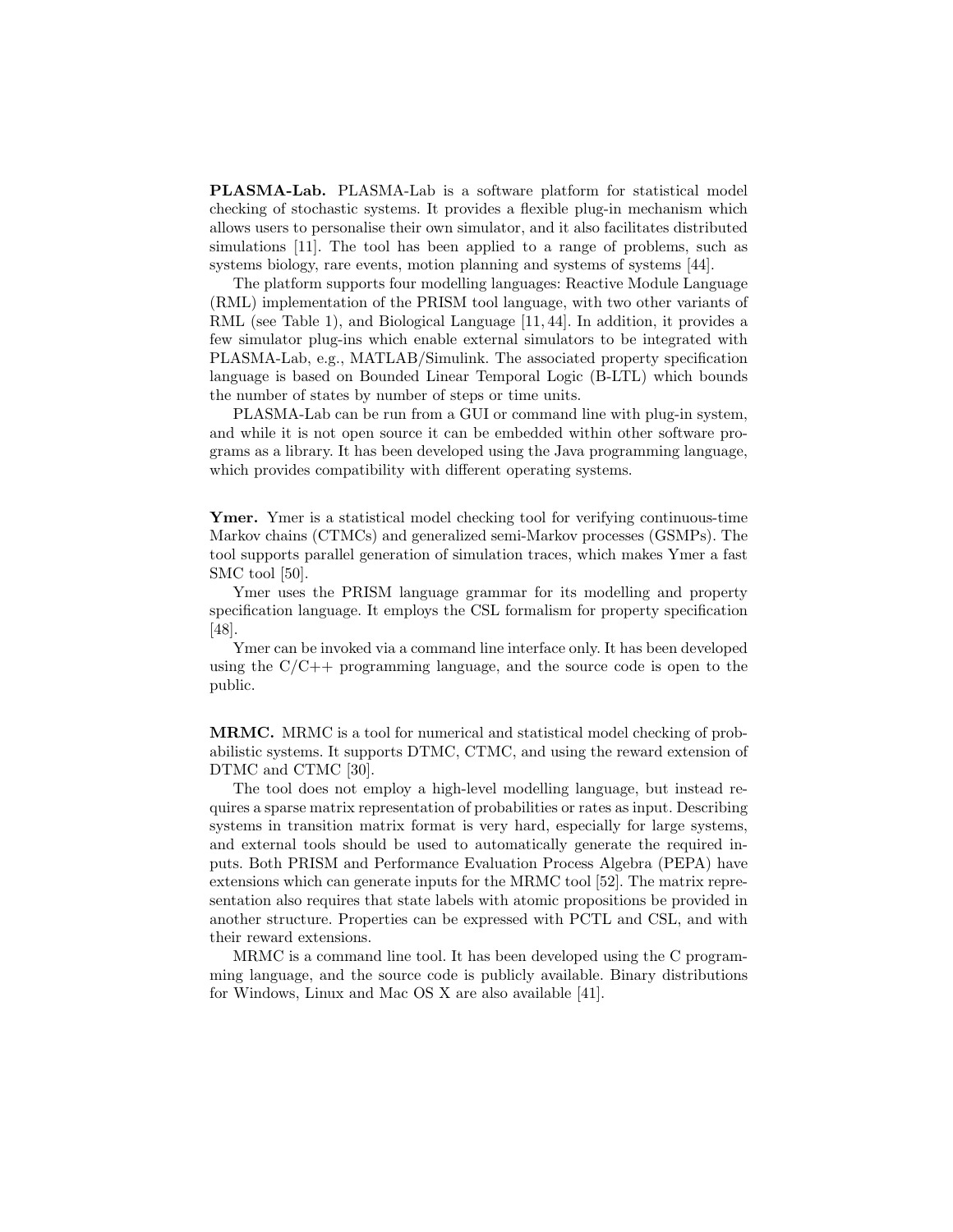PLASMA-Lab. PLASMA-Lab is a software platform for statistical model checking of stochastic systems. It provides a flexible plug-in mechanism which allows users to personalise their own simulator, and it also facilitates distributed simulations [11]. The tool has been applied to a range of problems, such as systems biology, rare events, motion planning and systems of systems [44].

The platform supports four modelling languages: Reactive Module Language (RML) implementation of the PRISM tool language, with two other variants of RML (see Table 1), and Biological Language [11, 44]. In addition, it provides a few simulator plug-ins which enable external simulators to be integrated with PLASMA-Lab, e.g., MATLAB/Simulink. The associated property specification language is based on Bounded Linear Temporal Logic (B-LTL) which bounds the number of states by number of steps or time units.

PLASMA-Lab can be run from a GUI or command line with plug-in system, and while it is not open source it can be embedded within other software programs as a library. It has been developed using the Java programming language, which provides compatibility with different operating systems.

Ymer. Ymer is a statistical model checking tool for verifying continuous-time Markov chains (CTMCs) and generalized semi-Markov processes (GSMPs). The tool supports parallel generation of simulation traces, which makes Ymer a fast SMC tool [50].

Ymer uses the PRISM language grammar for its modelling and property specification language. It employs the CSL formalism for property specification [48].

Ymer can be invoked via a command line interface only. It has been developed using the  $C/C++$  programming language, and the source code is open to the public.

MRMC. MRMC is a tool for numerical and statistical model checking of probabilistic systems. It supports DTMC, CTMC, and using the reward extension of DTMC and CTMC [30].

The tool does not employ a high-level modelling language, but instead requires a sparse matrix representation of probabilities or rates as input. Describing systems in transition matrix format is very hard, especially for large systems, and external tools should be used to automatically generate the required inputs. Both PRISM and Performance Evaluation Process Algebra (PEPA) have extensions which can generate inputs for the MRMC tool [52]. The matrix representation also requires that state labels with atomic propositions be provided in another structure. Properties can be expressed with PCTL and CSL, and with their reward extensions.

MRMC is a command line tool. It has been developed using the C programming language, and the source code is publicly available. Binary distributions for Windows, Linux and Mac OS X are also available [41].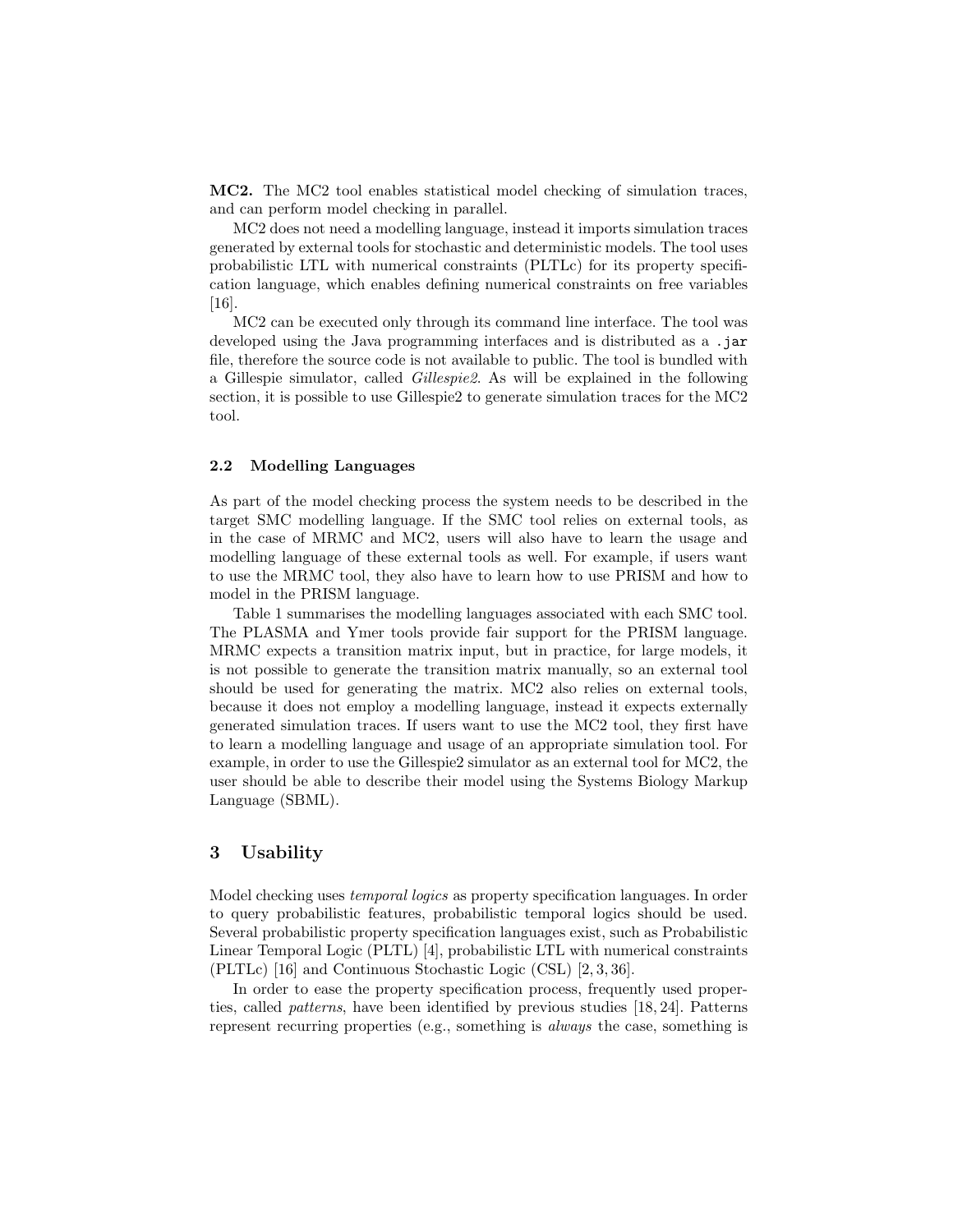MC2. The MC2 tool enables statistical model checking of simulation traces, and can perform model checking in parallel.

MC2 does not need a modelling language, instead it imports simulation traces generated by external tools for stochastic and deterministic models. The tool uses probabilistic LTL with numerical constraints (PLTLc) for its property specification language, which enables defining numerical constraints on free variables [16].

MC2 can be executed only through its command line interface. The tool was developed using the Java programming interfaces and is distributed as a .jar file, therefore the source code is not available to public. The tool is bundled with a Gillespie simulator, called Gillespie2. As will be explained in the following section, it is possible to use Gillespie2 to generate simulation traces for the MC2 tool.

#### 2.2 Modelling Languages

As part of the model checking process the system needs to be described in the target SMC modelling language. If the SMC tool relies on external tools, as in the case of MRMC and MC2, users will also have to learn the usage and modelling language of these external tools as well. For example, if users want to use the MRMC tool, they also have to learn how to use PRISM and how to model in the PRISM language.

Table 1 summarises the modelling languages associated with each SMC tool. The PLASMA and Ymer tools provide fair support for the PRISM language. MRMC expects a transition matrix input, but in practice, for large models, it is not possible to generate the transition matrix manually, so an external tool should be used for generating the matrix. MC2 also relies on external tools, because it does not employ a modelling language, instead it expects externally generated simulation traces. If users want to use the MC2 tool, they first have to learn a modelling language and usage of an appropriate simulation tool. For example, in order to use the Gillespie2 simulator as an external tool for MC2, the user should be able to describe their model using the Systems Biology Markup Language (SBML).

## 3 Usability

Model checking uses temporal logics as property specification languages. In order to query probabilistic features, probabilistic temporal logics should be used. Several probabilistic property specification languages exist, such as Probabilistic Linear Temporal Logic (PLTL) [4], probabilistic LTL with numerical constraints (PLTLc) [16] and Continuous Stochastic Logic (CSL) [2, 3, 36].

In order to ease the property specification process, frequently used properties, called patterns, have been identified by previous studies [18, 24]. Patterns represent recurring properties (e.g., something is always the case, something is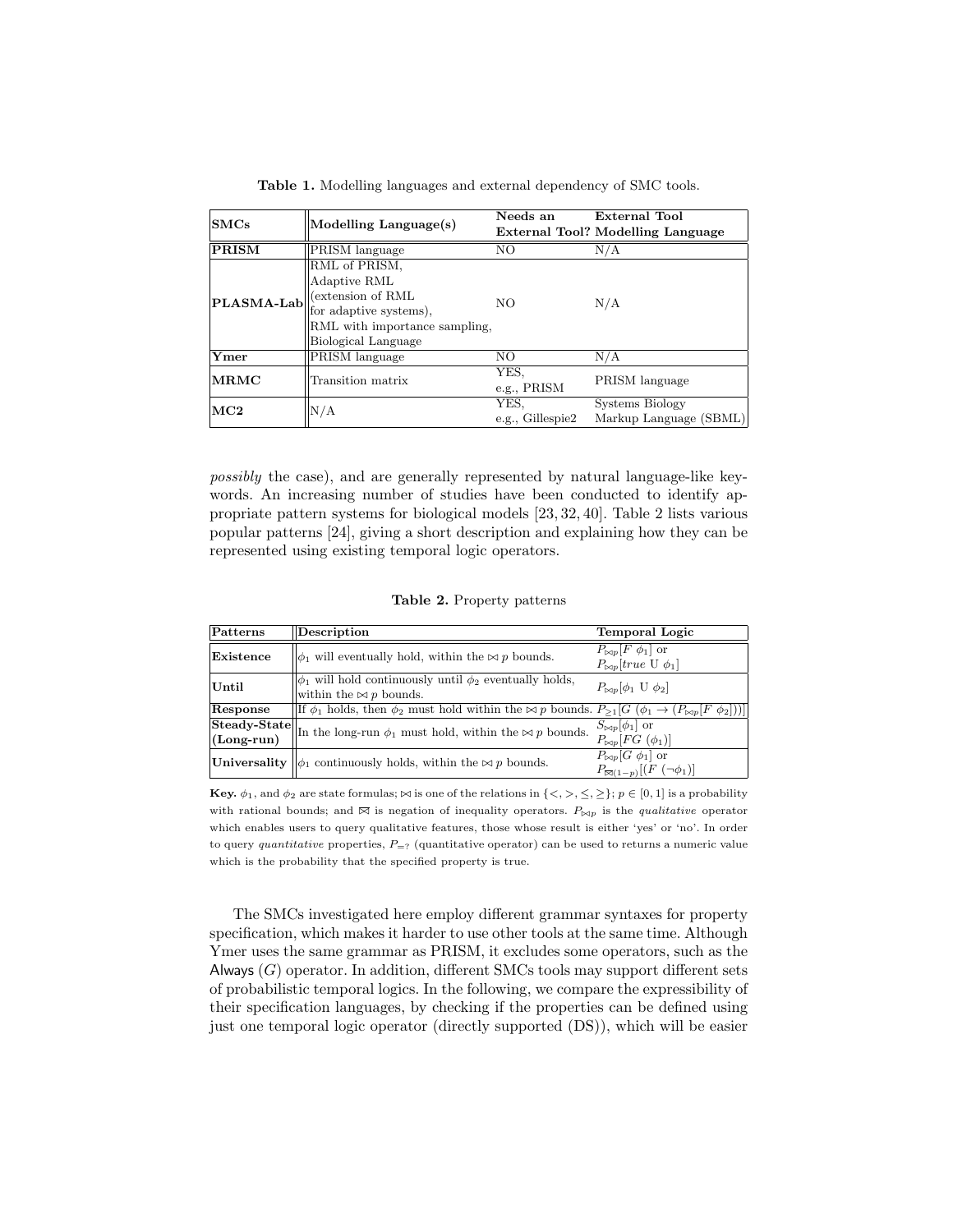| <b>SMCs</b>  | Modelling Language(s)         | Needs an         | External Tool<br>External Tool? Modelling Language |  |  |
|--------------|-------------------------------|------------------|----------------------------------------------------|--|--|
| <b>PRISM</b> | <b>PRISM</b> language         | NO               | N/A                                                |  |  |
| PLASMA-Lab   | RML of PRISM,                 |                  |                                                    |  |  |
|              | Adaptive RML                  |                  |                                                    |  |  |
|              | (extension of RML)            | NO               | N/A                                                |  |  |
|              | for adaptive systems),        |                  |                                                    |  |  |
|              | RML with importance sampling, |                  |                                                    |  |  |
|              | Biological Language           |                  |                                                    |  |  |
| Ymer         | PRISM language                | NO               | N/A                                                |  |  |
| MRMC         | Transition matrix             | YES.             | PRISM language                                     |  |  |
|              |                               | e.g., PRISM      |                                                    |  |  |
| MC2          | N/A                           | YES.             | Systems Biology                                    |  |  |
|              |                               | e.g., Gillespie2 | Markup Language (SBML)                             |  |  |

Table 1. Modelling languages and external dependency of SMC tools.

possibly the case), and are generally represented by natural language-like keywords. An increasing number of studies have been conducted to identify appropriate pattern systems for biological models [23, 32, 40]. Table 2 lists various popular patterns [24], giving a short description and explaining how they can be represented using existing temporal logic operators.

## Table 2. Property patterns

| Patterns                     | Description                                                                                                                      | Temporal Logic                                                                |
|------------------------------|----------------------------------------------------------------------------------------------------------------------------------|-------------------------------------------------------------------------------|
| Existence                    | $\ \phi_1\ $ will eventually hold, within the $\bowtie p$ bounds.                                                                | $P_{\bowtie p}[F \phi_1]$ or<br>$P_{\bowtie p}[true \cup \phi_1]$             |
| $ {\bf Until}$               | $ \phi_1 $ will hold continuously until $\phi_2$ eventually holds,<br>within the $\bowtie p$ bounds.                             | $P_{\bowtie p}[\phi_1 \cup \phi_2]$                                           |
| Response                     | If $\phi_1$ holds, then $\phi_2$ must hold within the $\bowtie p$ bounds. $P_{>1}[G \ (\phi_1 \to (P_{\bowtie p}[F \ \phi_2]))]$ |                                                                               |
| Steady-State<br>$(Long-run)$ | In the long-run $\phi_1$ must hold, within the $\bowtie p$ bounds.                                                               | $S_{\bowtie p}[\phi_1]$ or<br>$P_{\bowtie p}$ [FG $(\phi_1)$ ]                |
|                              | <b>Universality</b> $\ \phi_1\ $ continuously holds, within the $\bowtie p$ bounds.                                              | $P_{\bowtie p}[G \phi_1]$ or<br>$P_{\overline{\bowtie}(1-p)}[(F(\neg\phi_1)]$ |

Key.  $\phi_1$ , and  $\phi_2$  are state formulas;  $\bowtie$  is one of the relations in  $\{\leq, >, \leq, \geq\}$ ;  $p \in [0, 1]$  is a probability with rational bounds; and  $\overline{\bowtie}$  is negation of inequality operators.  $P_{\bowtie p}$  is the *qualitative* operator which enables users to query qualitative features, those whose result is either 'yes' or 'no'. In order to query quantitative properties,  $P_{=?}$  (quantitative operator) can be used to returns a numeric value which is the probability that the specified property is true.

The SMCs investigated here employ different grammar syntaxes for property specification, which makes it harder to use other tools at the same time. Although Ymer uses the same grammar as PRISM, it excludes some operators, such as the Always  $(G)$  operator. In addition, different SMCs tools may support different sets of probabilistic temporal logics. In the following, we compare the expressibility of their specification languages, by checking if the properties can be defined using just one temporal logic operator (directly supported (DS)), which will be easier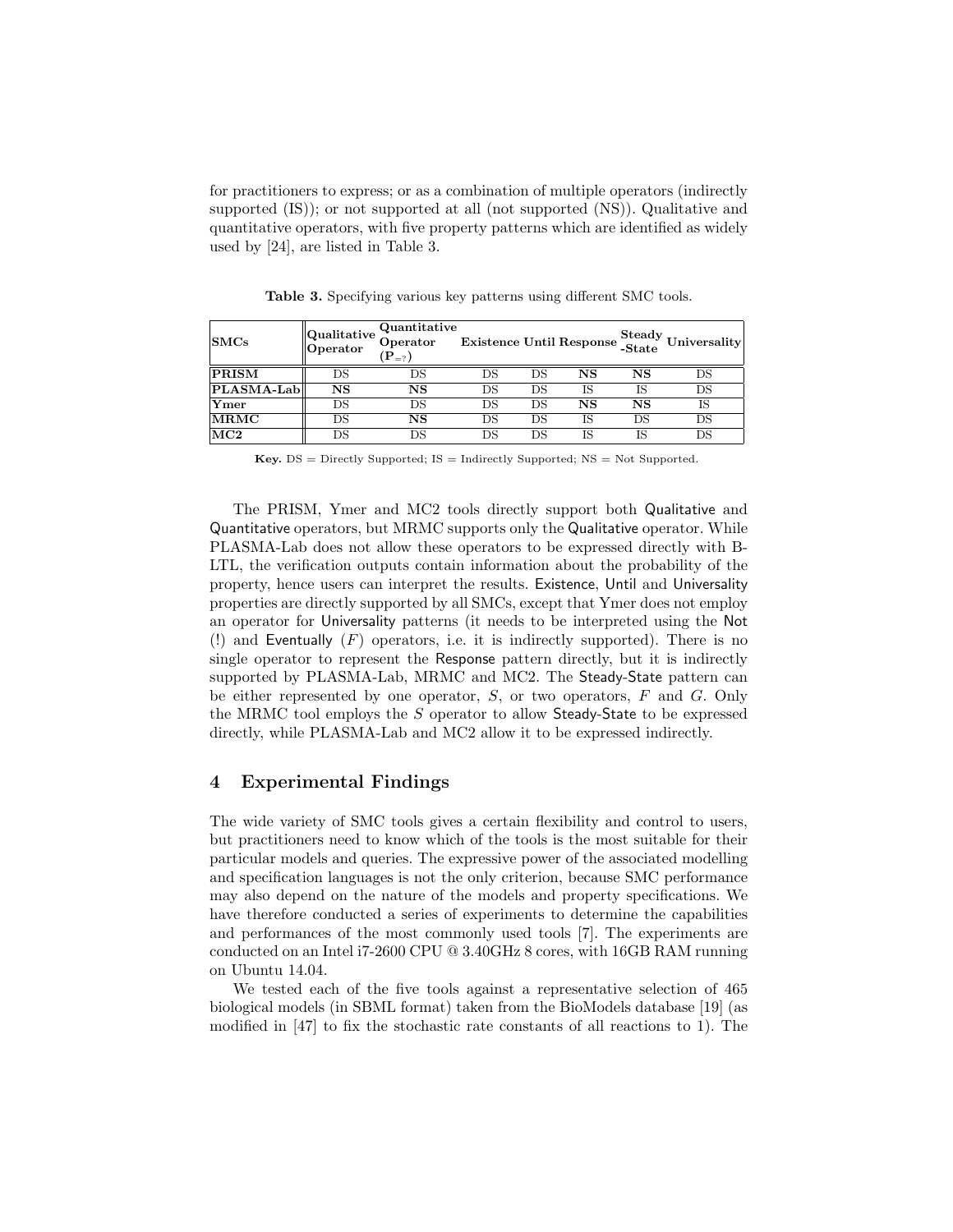for practitioners to express; or as a combination of multiple operators (indirectly supported (IS)); or not supported at all (not supported (NS)). Qualitative and quantitative operators, with five property patterns which are identified as widely used by [24], are listed in Table 3.

| <b>SMCs</b>    | Qualitative<br>Operator | Quantitative<br>Operator<br>$\mathbf{P}_{=?}$ |    |    |    |    | $\begin{array}{l} \hbox{Existence Until Response} \end{array} \begin{array}{l} \hbox{Steady} \\ \hbox{-State} \end{array} \text{Universality} \end{array}$ |
|----------------|-------------------------|-----------------------------------------------|----|----|----|----|------------------------------------------------------------------------------------------------------------------------------------------------------------|
| $ {\bf PRISM}$ | DS                      | DS                                            | DS | ÐS | NS | NS | DS                                                                                                                                                         |
| PLASMA-Lab     | NS                      | NS                                            | DS | DS | ΙS | ΙS | DS                                                                                                                                                         |
| Ymer           | DS                      | DS                                            | DS | DS | NS | NS | IS                                                                                                                                                         |
| <b>MRMC</b>    | DS                      | NS                                            | DS | DS | ΙS | DS | DS                                                                                                                                                         |
| $_{\rm MC2}$   | DS                      | DS                                            | DS | DS | ΙS | ΙS | DS                                                                                                                                                         |

Table 3. Specifying various key patterns using different SMC tools.

**Key.**  $DS =$  Directly Supported;  $IS =$  Indirectly Supported;  $NS =$  Not Supported.

The PRISM, Ymer and MC2 tools directly support both Qualitative and Quantitative operators, but MRMC supports only the Qualitative operator. While PLASMA-Lab does not allow these operators to be expressed directly with B-LTL, the verification outputs contain information about the probability of the property, hence users can interpret the results. Existence, Until and Universality properties are directly supported by all SMCs, except that Ymer does not employ an operator for Universality patterns (it needs to be interpreted using the Not (!) and Eventually  $(F)$  operators, i.e. it is indirectly supported). There is no single operator to represent the Response pattern directly, but it is indirectly supported by PLASMA-Lab, MRMC and MC2. The Steady-State pattern can be either represented by one operator,  $S$ , or two operators,  $F$  and  $G$ . Only the MRMC tool employs the S operator to allow Steady-State to be expressed directly, while PLASMA-Lab and MC2 allow it to be expressed indirectly.

## 4 Experimental Findings

The wide variety of SMC tools gives a certain flexibility and control to users, but practitioners need to know which of the tools is the most suitable for their particular models and queries. The expressive power of the associated modelling and specification languages is not the only criterion, because SMC performance may also depend on the nature of the models and property specifications. We have therefore conducted a series of experiments to determine the capabilities and performances of the most commonly used tools [7]. The experiments are conducted on an Intel i7-2600 CPU @ 3.40GHz 8 cores, with 16GB RAM running on Ubuntu 14.04.

We tested each of the five tools against a representative selection of 465 biological models (in SBML format) taken from the BioModels database [19] (as modified in [47] to fix the stochastic rate constants of all reactions to 1). The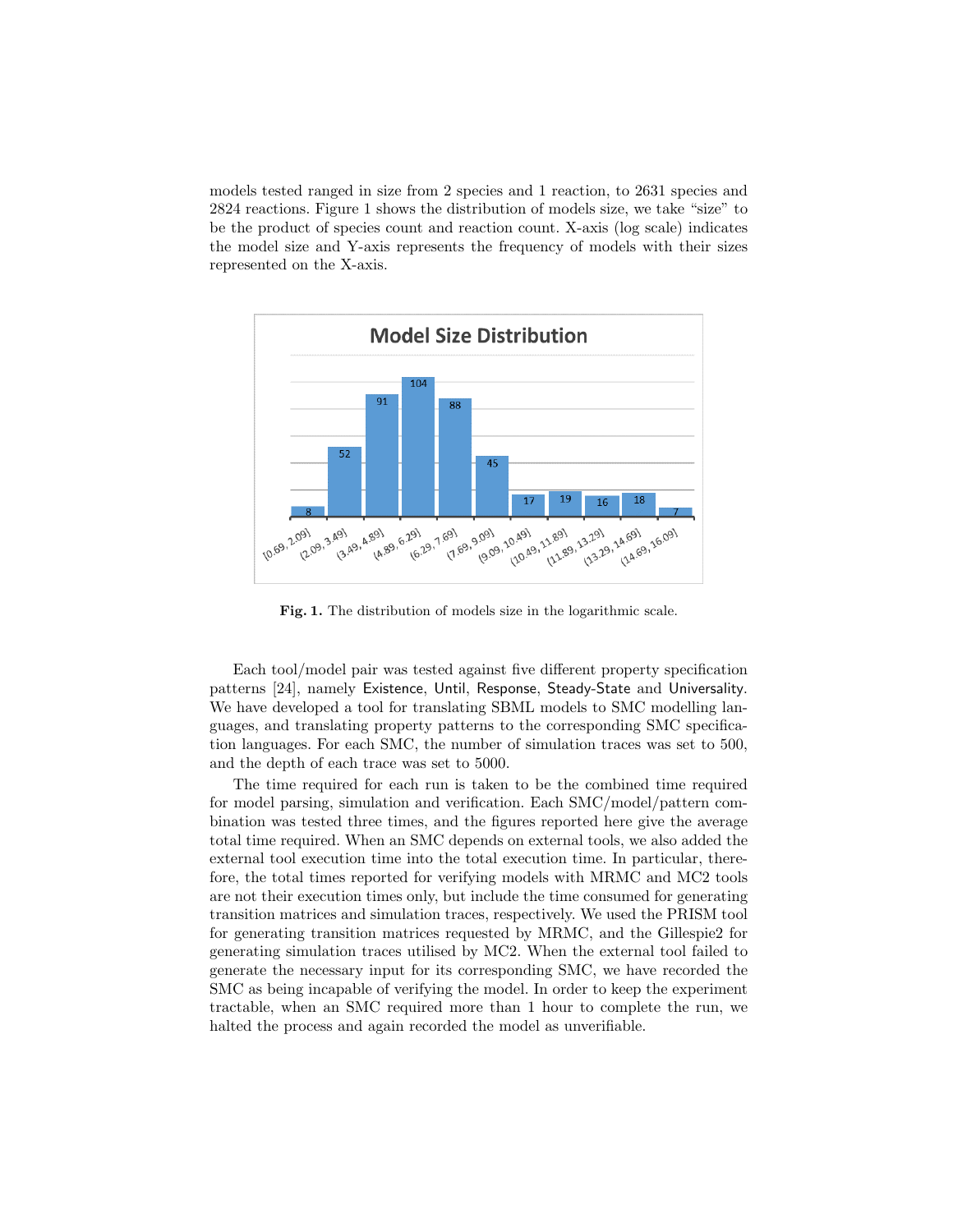models tested ranged in size from 2 species and 1 reaction, to 2631 species and 2824 reactions. Figure 1 shows the distribution of models size, we take "size" to be the product of species count and reaction count. X-axis (log scale) indicates the model size and Y-axis represents the frequency of models with their sizes represented on the X-axis.



Fig. 1. The distribution of models size in the logarithmic scale.

Each tool/model pair was tested against five different property specification patterns [24], namely Existence, Until, Response, Steady-State and Universality. We have developed a tool for translating SBML models to SMC modelling languages, and translating property patterns to the corresponding SMC specification languages. For each SMC, the number of simulation traces was set to 500, and the depth of each trace was set to 5000.

The time required for each run is taken to be the combined time required for model parsing, simulation and verification. Each SMC/model/pattern combination was tested three times, and the figures reported here give the average total time required. When an SMC depends on external tools, we also added the external tool execution time into the total execution time. In particular, therefore, the total times reported for verifying models with MRMC and MC2 tools are not their execution times only, but include the time consumed for generating transition matrices and simulation traces, respectively. We used the PRISM tool for generating transition matrices requested by MRMC, and the Gillespie2 for generating simulation traces utilised by MC2. When the external tool failed to generate the necessary input for its corresponding SMC, we have recorded the SMC as being incapable of verifying the model. In order to keep the experiment tractable, when an SMC required more than 1 hour to complete the run, we halted the process and again recorded the model as unverifiable.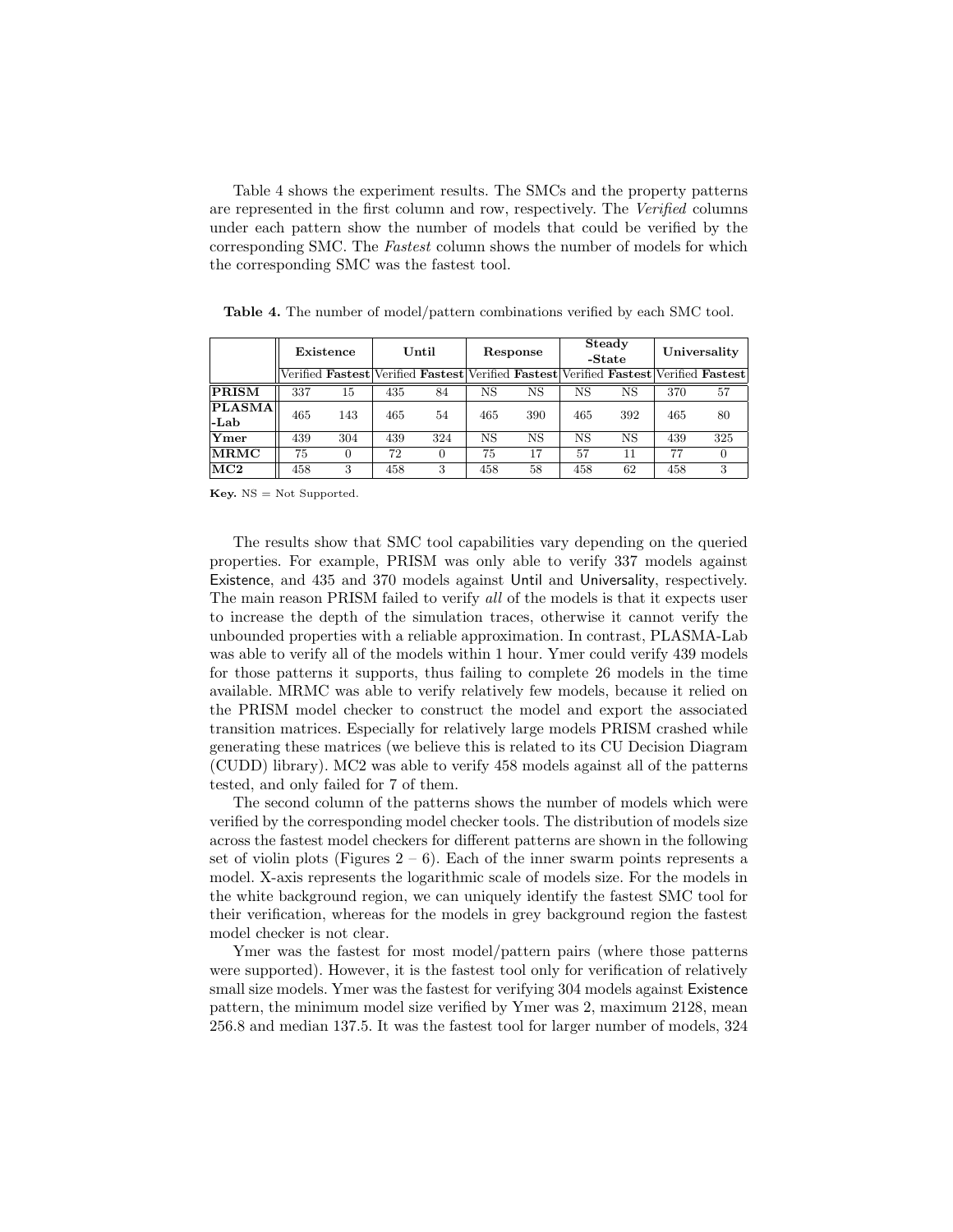Table 4 shows the experiment results. The SMCs and the property patterns are represented in the first column and row, respectively. The Verified columns under each pattern show the number of models that could be verified by the corresponding SMC. The Fastest column shows the number of models for which the corresponding SMC was the fastest tool.

|                       | Existence |     | Until |          | Response |     | Steady<br>-State |                                                                                              | Universality |          |
|-----------------------|-----------|-----|-------|----------|----------|-----|------------------|----------------------------------------------------------------------------------------------|--------------|----------|
|                       |           |     |       |          |          |     |                  | Verified Fastest   Verified Fastest   Verified Fastest   Verified Fastest   Verified Fastest |              |          |
| <b>PRISM</b>          | 337       | 15  | 435   | 84       | NS       | NS  | NS               | NS                                                                                           | 370          | 57       |
| <b>PLASMA</b><br>-Lab | 465       | 143 | 465   | 54       | 465      | 390 | 465              | 392                                                                                          | 465          | 80       |
| Ymer                  | 439       | 304 | 439   | 324      | NS       | NS  | NS               | NS                                                                                           | 439          | 325      |
| <b>MRMC</b>           | 75        | 0   | 72    | $\Omega$ | 75       | 17  | 57               | 11                                                                                           | 77           | $\Omega$ |
| MC2                   | 458       | 3   | 458   | 3        | 458      | 58  | 458              | 62                                                                                           | 458          | 3        |

Table 4. The number of model/pattern combinations verified by each SMC tool.

**Key.**  $NS = Not$  Supported.

The results show that SMC tool capabilities vary depending on the queried properties. For example, PRISM was only able to verify 337 models against Existence, and 435 and 370 models against Until and Universality, respectively. The main reason PRISM failed to verify all of the models is that it expects user to increase the depth of the simulation traces, otherwise it cannot verify the unbounded properties with a reliable approximation. In contrast, PLASMA-Lab was able to verify all of the models within 1 hour. Ymer could verify 439 models for those patterns it supports, thus failing to complete 26 models in the time available. MRMC was able to verify relatively few models, because it relied on the PRISM model checker to construct the model and export the associated transition matrices. Especially for relatively large models PRISM crashed while generating these matrices (we believe this is related to its CU Decision Diagram (CUDD) library). MC2 was able to verify 458 models against all of the patterns tested, and only failed for 7 of them.

The second column of the patterns shows the number of models which were verified by the corresponding model checker tools. The distribution of models size across the fastest model checkers for different patterns are shown in the following set of violin plots (Figures  $2 - 6$ ). Each of the inner swarm points represents a model. X-axis represents the logarithmic scale of models size. For the models in the white background region, we can uniquely identify the fastest SMC tool for their verification, whereas for the models in grey background region the fastest model checker is not clear.

Ymer was the fastest for most model/pattern pairs (where those patterns were supported). However, it is the fastest tool only for verification of relatively small size models. Ymer was the fastest for verifying 304 models against Existence pattern, the minimum model size verified by Ymer was 2, maximum 2128, mean 256.8 and median 137.5. It was the fastest tool for larger number of models, 324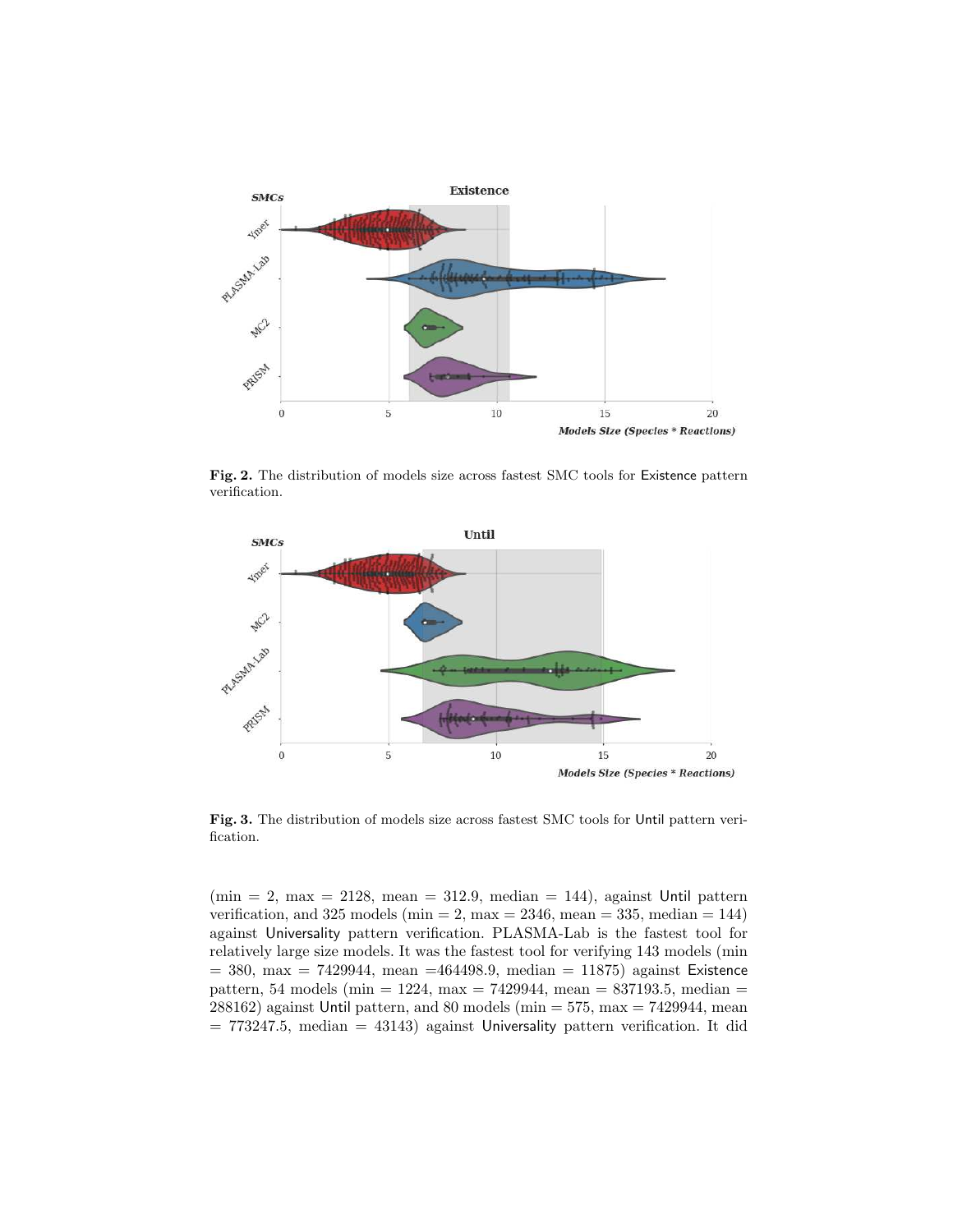

Fig. 2. The distribution of models size across fastest SMC tools for Existence pattern verification.



Fig. 3. The distribution of models size across fastest SMC tools for Until pattern verification.

 $(\text{min} = 2, \text{max} = 2128, \text{mean} = 312.9, \text{median} = 144),$  against Until pattern verification, and 325 models (min = 2, max = 2346, mean = 335, median = 144) against Universality pattern verification. PLASMA-Lab is the fastest tool for relatively large size models. It was the fastest tool for verifying 143 models (min  $= 380$ , max  $= 7429944$ , mean  $= 464498.9$ , median  $= 11875$ ) against Existence pattern, 54 models (min = 1224, max = 7429944, mean = 837193.5, median =  $288162$ ) against Until pattern, and 80 models (min = 575, max = 7429944, mean  $= 773247.5$ , median  $= 43143$ ) against Universality pattern verification. It did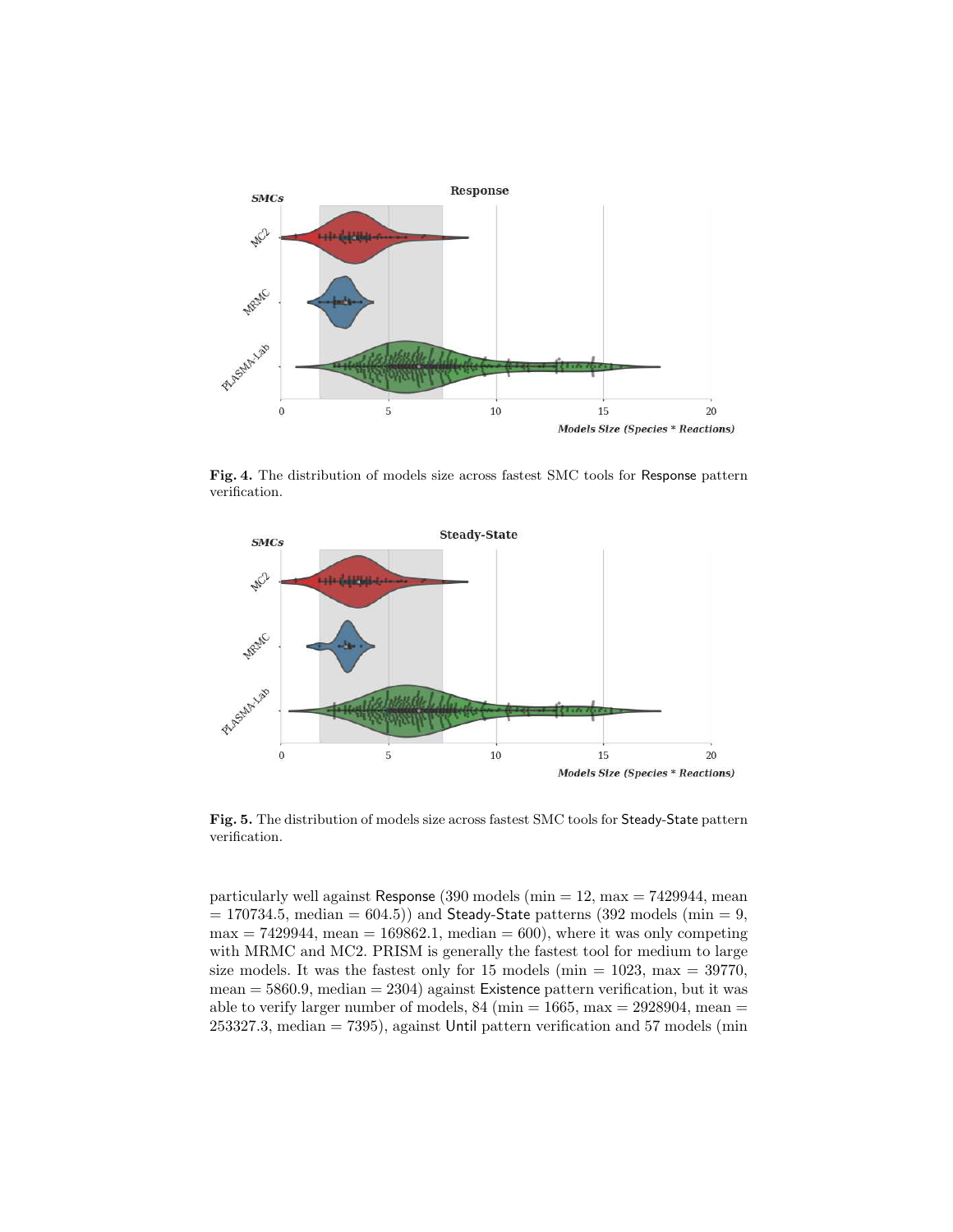

Fig. 4. The distribution of models size across fastest SMC tools for Response pattern verification.



Fig. 5. The distribution of models size across fastest SMC tools for Steady-State pattern verification.

particularly well against Response  $(390 \text{ models} (min = 12, max = 7429944, mean$  $= 170734.5$ , median  $= 604.5$ ) and Steady-State patterns (392 models (min  $= 9$ ,  $max = 7429944$ , mean = 169862.1, median = 600), where it was only competing with MRMC and MC2. PRISM is generally the fastest tool for medium to large size models. It was the fastest only for 15 models ( $min = 1023$ ,  $max = 39770$ ,  $mean = 5860.9$ , median  $= 2304$ ) against Existence pattern verification, but it was able to verify larger number of models,  $84 \text{ (min} = 1665, \text{max} = 2928904, \text{mean} =$  $253327.3$ , median = 7395), against Until pattern verification and 57 models (min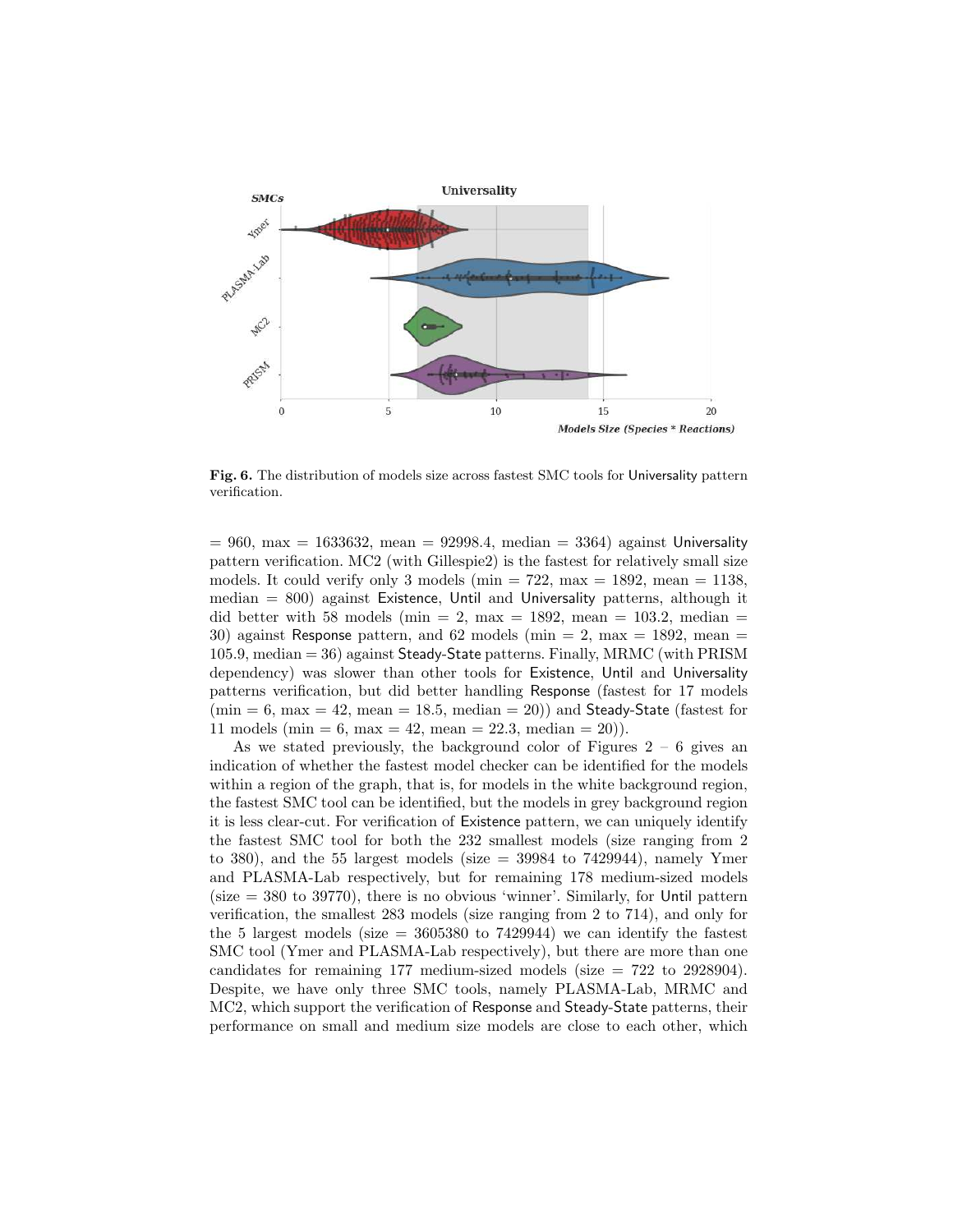

Fig. 6. The distribution of models size across fastest SMC tools for Universality pattern verification.

 $= 960$ , max  $= 1633632$ , mean  $= 92998.4$ , median  $= 3364$ ) against Universality pattern verification. MC2 (with Gillespie2) is the fastest for relatively small size models. It could verify only 3 models (min  $= 722$ , max  $= 1892$ , mean  $= 1138$ ,  $median = 800$ ) against Existence, Until and Universality patterns, although it did better with 58 models (min = 2, max = 1892, mean = 103.2, median = 30) against Response pattern, and 62 models (min  $= 2$ , max  $= 1892$ , mean  $=$ 105.9, median = 36) against Steady-State patterns. Finally, MRMC (with PRISM dependency) was slower than other tools for Existence, Until and Universality patterns verification, but did better handling Response (fastest for 17 models  $(\text{min} = 6, \text{max} = 42, \text{mean} = 18.5, \text{median} = 20)$ ) and Steady-State (fastest for 11 models (min = 6, max = 42, mean = 22.3, median = 20)).

As we stated previously, the background color of Figures  $2 - 6$  gives an indication of whether the fastest model checker can be identified for the models within a region of the graph, that is, for models in the white background region, the fastest SMC tool can be identified, but the models in grey background region it is less clear-cut. For verification of Existence pattern, we can uniquely identify the fastest SMC tool for both the 232 smallest models (size ranging from 2 to 380), and the 55 largest models (size  $=$  39984 to 7429944), namely Ymer and PLASMA-Lab respectively, but for remaining 178 medium-sized models  $(size = 380$  to 39770), there is no obvious 'winner'. Similarly, for Until pattern verification, the smallest 283 models (size ranging from 2 to 714), and only for the 5 largest models (size  $=$  3605380 to 7429944) we can identify the fastest SMC tool (Ymer and PLASMA-Lab respectively), but there are more than one candidates for remaining 177 medium-sized models (size  $= 722$  to 2928904). Despite, we have only three SMC tools, namely PLASMA-Lab, MRMC and MC2, which support the verification of Response and Steady-State patterns, their performance on small and medium size models are close to each other, which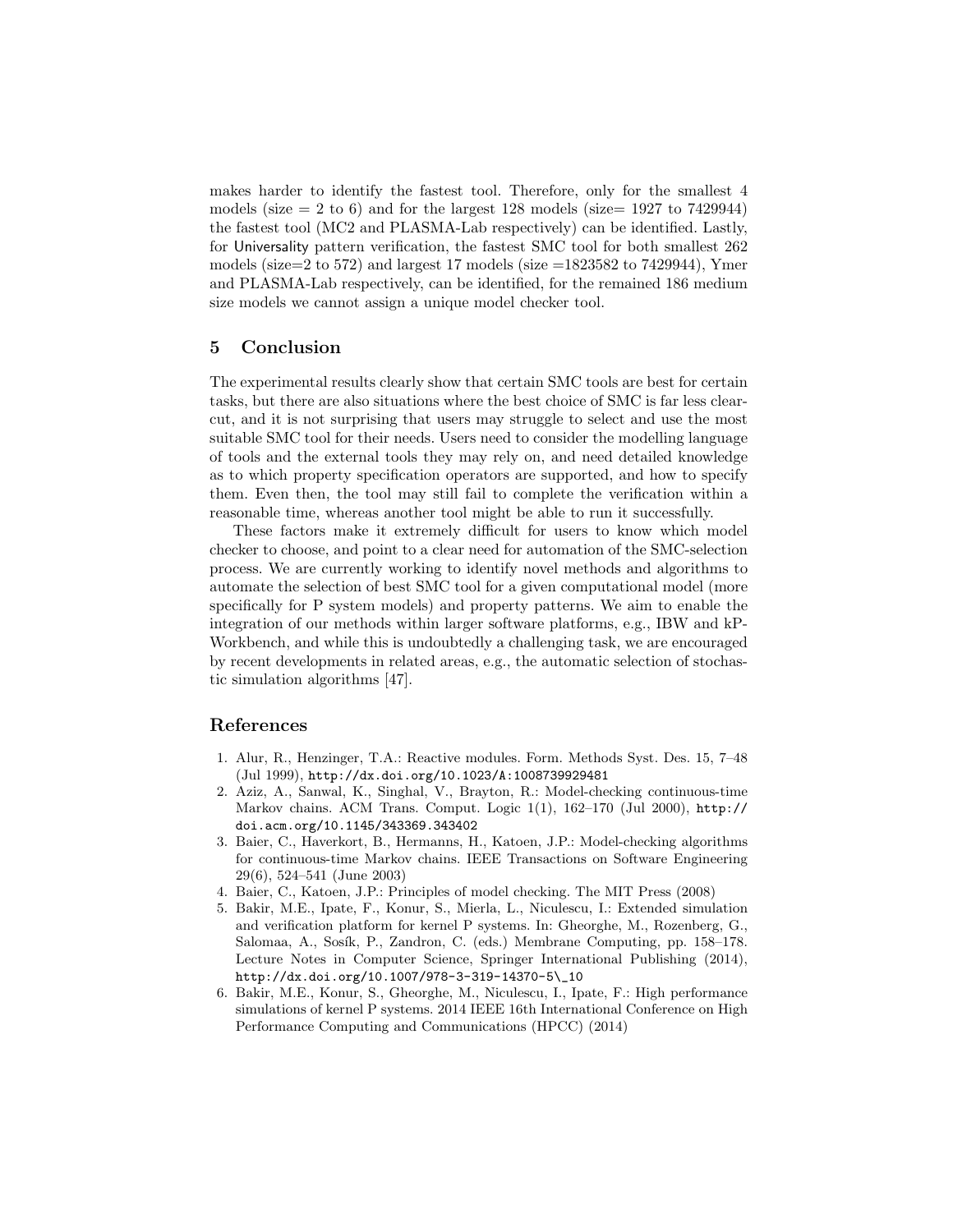makes harder to identify the fastest tool. Therefore, only for the smallest 4 models (size  $= 2 \text{ to } 6$ ) and for the largest 128 models (size  $= 1927$  to 7429944) the fastest tool (MC2 and PLASMA-Lab respectively) can be identified. Lastly, for Universality pattern verification, the fastest SMC tool for both smallest 262 models (size= $2$  to  $572$ ) and largest 17 models (size =1823582 to 7429944), Ymer and PLASMA-Lab respectively, can be identified, for the remained 186 medium size models we cannot assign a unique model checker tool.

## 5 Conclusion

The experimental results clearly show that certain SMC tools are best for certain tasks, but there are also situations where the best choice of SMC is far less clearcut, and it is not surprising that users may struggle to select and use the most suitable SMC tool for their needs. Users need to consider the modelling language of tools and the external tools they may rely on, and need detailed knowledge as to which property specification operators are supported, and how to specify them. Even then, the tool may still fail to complete the verification within a reasonable time, whereas another tool might be able to run it successfully.

These factors make it extremely difficult for users to know which model checker to choose, and point to a clear need for automation of the SMC-selection process. We are currently working to identify novel methods and algorithms to automate the selection of best SMC tool for a given computational model (more specifically for P system models) and property patterns. We aim to enable the integration of our methods within larger software platforms, e.g., IBW and kP-Workbench, and while this is undoubtedly a challenging task, we are encouraged by recent developments in related areas, e.g., the automatic selection of stochastic simulation algorithms [47].

### References

- 1. Alur, R., Henzinger, T.A.: Reactive modules. Form. Methods Syst. Des. 15, 7–48 (Jul 1999), http://dx.doi.org/10.1023/A:1008739929481
- 2. Aziz, A., Sanwal, K., Singhal, V., Brayton, R.: Model-checking continuous-time Markov chains. ACM Trans. Comput. Logic 1(1), 162–170 (Jul 2000), http:// doi.acm.org/10.1145/343369.343402
- 3. Baier, C., Haverkort, B., Hermanns, H., Katoen, J.P.: Model-checking algorithms for continuous-time Markov chains. IEEE Transactions on Software Engineering 29(6), 524–541 (June 2003)
- 4. Baier, C., Katoen, J.P.: Principles of model checking. The MIT Press (2008)
- 5. Bakir, M.E., Ipate, F., Konur, S., Mierla, L., Niculescu, I.: Extended simulation and verification platform for kernel P systems. In: Gheorghe, M., Rozenberg, G., Salomaa, A., Sosík, P., Zandron, C. (eds.) Membrane Computing, pp. 158-178. Lecture Notes in Computer Science, Springer International Publishing (2014), http://dx.doi.org/10.1007/978-3-319-14370-5\\_10
- 6. Bakir, M.E., Konur, S., Gheorghe, M., Niculescu, I., Ipate, F.: High performance simulations of kernel P systems. 2014 IEEE 16th International Conference on High Performance Computing and Communications (HPCC) (2014)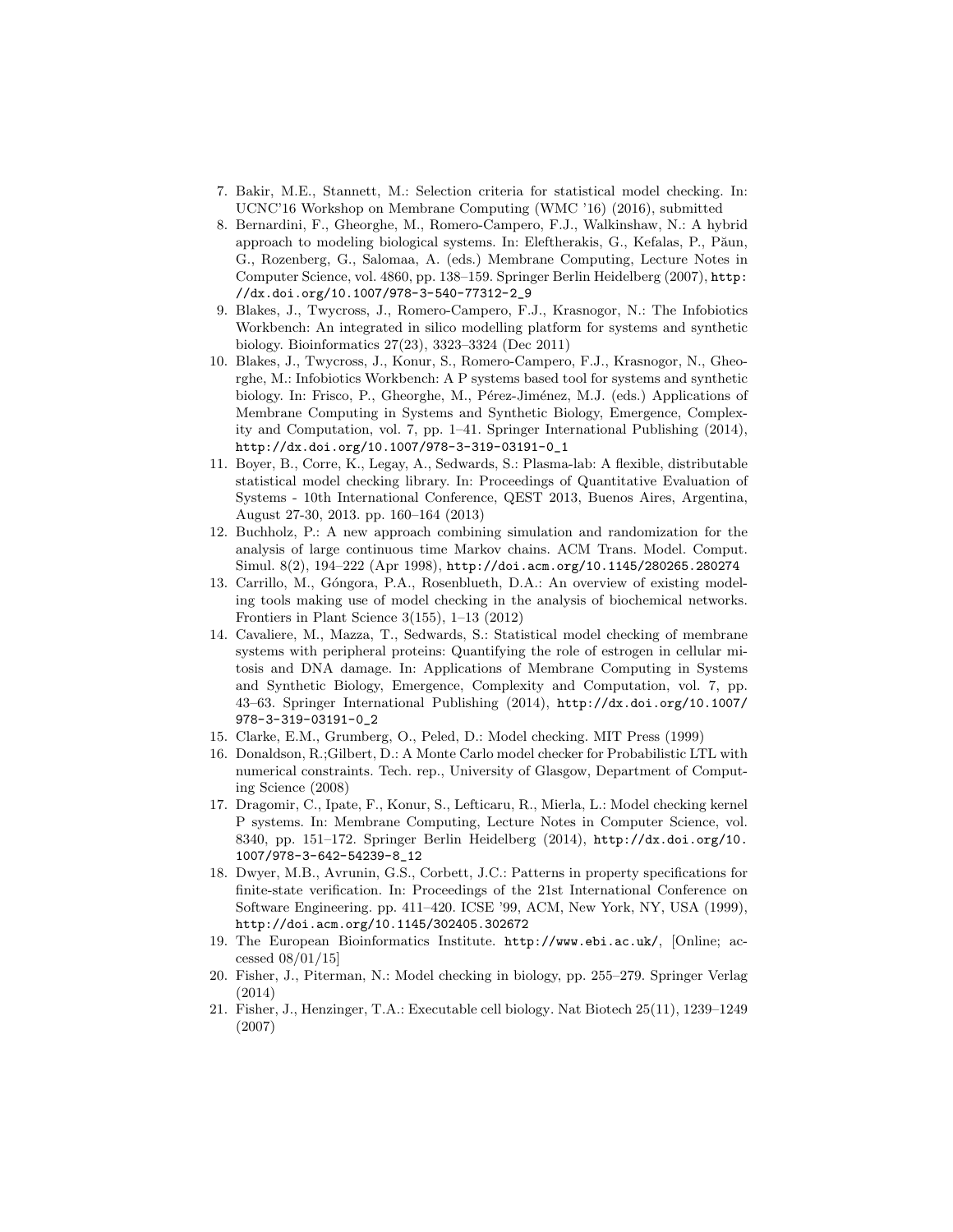- 7. Bakir, M.E., Stannett, M.: Selection criteria for statistical model checking. In: UCNC'16 Workshop on Membrane Computing (WMC '16) (2016), submitted
- 8. Bernardini, F., Gheorghe, M., Romero-Campero, F.J., Walkinshaw, N.: A hybrid approach to modeling biological systems. In: Eleftherakis, G., Kefalas, P., Păun, G., Rozenberg, G., Salomaa, A. (eds.) Membrane Computing, Lecture Notes in Computer Science, vol. 4860, pp. 138–159. Springer Berlin Heidelberg (2007), http: //dx.doi.org/10.1007/978-3-540-77312-2\_9
- 9. Blakes, J., Twycross, J., Romero-Campero, F.J., Krasnogor, N.: The Infobiotics Workbench: An integrated in silico modelling platform for systems and synthetic biology. Bioinformatics 27(23), 3323–3324 (Dec 2011)
- 10. Blakes, J., Twycross, J., Konur, S., Romero-Campero, F.J., Krasnogor, N., Gheorghe, M.: Infobiotics Workbench: A P systems based tool for systems and synthetic biology. In: Frisco, P., Gheorghe, M., Pérez-Jiménez, M.J. (eds.) Applications of Membrane Computing in Systems and Synthetic Biology, Emergence, Complexity and Computation, vol. 7, pp. 1–41. Springer International Publishing (2014), http://dx.doi.org/10.1007/978-3-319-03191-0\_1
- 11. Boyer, B., Corre, K., Legay, A., Sedwards, S.: Plasma-lab: A flexible, distributable statistical model checking library. In: Proceedings of Quantitative Evaluation of Systems - 10th International Conference, QEST 2013, Buenos Aires, Argentina, August 27-30, 2013. pp. 160–164 (2013)
- 12. Buchholz, P.: A new approach combining simulation and randomization for the analysis of large continuous time Markov chains. ACM Trans. Model. Comput. Simul. 8(2), 194–222 (Apr 1998), http://doi.acm.org/10.1145/280265.280274
- 13. Carrillo, M., Góngora, P.A., Rosenblueth, D.A.: An overview of existing modeling tools making use of model checking in the analysis of biochemical networks. Frontiers in Plant Science 3(155), 1–13 (2012)
- 14. Cavaliere, M., Mazza, T., Sedwards, S.: Statistical model checking of membrane systems with peripheral proteins: Quantifying the role of estrogen in cellular mitosis and DNA damage. In: Applications of Membrane Computing in Systems and Synthetic Biology, Emergence, Complexity and Computation, vol. 7, pp. 43–63. Springer International Publishing (2014), http://dx.doi.org/10.1007/ 978-3-319-03191-0\_2
- 15. Clarke, E.M., Grumberg, O., Peled, D.: Model checking. MIT Press (1999)
- 16. Donaldson, R.;Gilbert, D.: A Monte Carlo model checker for Probabilistic LTL with numerical constraints. Tech. rep., University of Glasgow, Department of Computing Science (2008)
- 17. Dragomir, C., Ipate, F., Konur, S., Lefticaru, R., Mierla, L.: Model checking kernel P systems. In: Membrane Computing, Lecture Notes in Computer Science, vol. 8340, pp. 151–172. Springer Berlin Heidelberg (2014), http://dx.doi.org/10. 1007/978-3-642-54239-8\_12
- 18. Dwyer, M.B., Avrunin, G.S., Corbett, J.C.: Patterns in property specifications for finite-state verification. In: Proceedings of the 21st International Conference on Software Engineering. pp. 411–420. ICSE '99, ACM, New York, NY, USA (1999), http://doi.acm.org/10.1145/302405.302672
- 19. The European Bioinformatics Institute. http://www.ebi.ac.uk/, [Online; accessed 08/01/15]
- 20. Fisher, J., Piterman, N.: Model checking in biology, pp. 255–279. Springer Verlag (2014)
- 21. Fisher, J., Henzinger, T.A.: Executable cell biology. Nat Biotech 25(11), 1239–1249 (2007)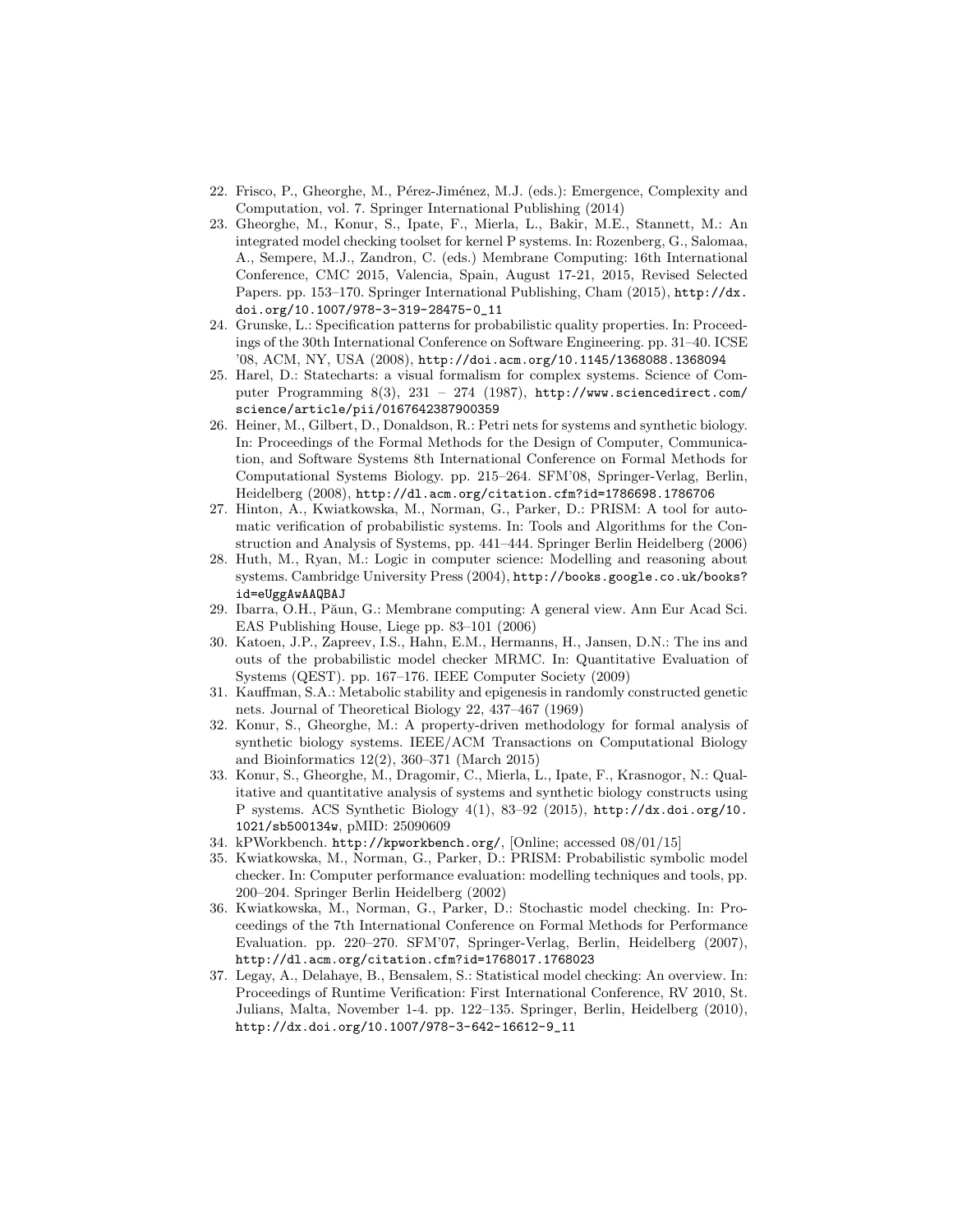- 22. Frisco, P., Gheorghe, M., Pérez-Jiménez, M.J. (eds.): Emergence, Complexity and Computation, vol. 7. Springer International Publishing (2014)
- 23. Gheorghe, M., Konur, S., Ipate, F., Mierla, L., Bakir, M.E., Stannett, M.: An integrated model checking toolset for kernel P systems. In: Rozenberg, G., Salomaa, A., Sempere, M.J., Zandron, C. (eds.) Membrane Computing: 16th International Conference, CMC 2015, Valencia, Spain, August 17-21, 2015, Revised Selected Papers. pp. 153–170. Springer International Publishing, Cham (2015), http://dx. doi.org/10.1007/978-3-319-28475-0\_11
- 24. Grunske, L.: Specification patterns for probabilistic quality properties. In: Proceedings of the 30th International Conference on Software Engineering. pp. 31–40. ICSE '08, ACM, NY, USA (2008), http://doi.acm.org/10.1145/1368088.1368094
- 25. Harel, D.: Statecharts: a visual formalism for complex systems. Science of Computer Programming  $8(3)$ ,  $231 - 274$  (1987), http://www.sciencedirect.com/ science/article/pii/0167642387900359
- 26. Heiner, M., Gilbert, D., Donaldson, R.: Petri nets for systems and synthetic biology. In: Proceedings of the Formal Methods for the Design of Computer, Communication, and Software Systems 8th International Conference on Formal Methods for Computational Systems Biology. pp. 215–264. SFM'08, Springer-Verlag, Berlin, Heidelberg (2008), http://dl.acm.org/citation.cfm?id=1786698.1786706
- 27. Hinton, A., Kwiatkowska, M., Norman, G., Parker, D.: PRISM: A tool for automatic verification of probabilistic systems. In: Tools and Algorithms for the Construction and Analysis of Systems, pp. 441–444. Springer Berlin Heidelberg (2006)
- 28. Huth, M., Ryan, M.: Logic in computer science: Modelling and reasoning about systems. Cambridge University Press (2004), http://books.google.co.uk/books? id=eUggAwAAQBAJ
- 29. Ibarra, O.H., Păun, G.: Membrane computing: A general view. Ann Eur Acad Sci. EAS Publishing House, Liege pp. 83–101 (2006)
- 30. Katoen, J.P., Zapreev, I.S., Hahn, E.M., Hermanns, H., Jansen, D.N.: The ins and outs of the probabilistic model checker MRMC. In: Quantitative Evaluation of Systems (QEST). pp. 167–176. IEEE Computer Society (2009)
- 31. Kauffman, S.A.: Metabolic stability and epigenesis in randomly constructed genetic nets. Journal of Theoretical Biology 22, 437–467 (1969)
- 32. Konur, S., Gheorghe, M.: A property-driven methodology for formal analysis of synthetic biology systems. IEEE/ACM Transactions on Computational Biology and Bioinformatics 12(2), 360–371 (March 2015)
- 33. Konur, S., Gheorghe, M., Dragomir, C., Mierla, L., Ipate, F., Krasnogor, N.: Qualitative and quantitative analysis of systems and synthetic biology constructs using P systems. ACS Synthetic Biology 4(1), 83–92 (2015), http://dx.doi.org/10. 1021/sb500134w, pMID: 25090609
- 34. kPWorkbench. http://kpworkbench.org/, [Online; accessed 08/01/15]
- 35. Kwiatkowska, M., Norman, G., Parker, D.: PRISM: Probabilistic symbolic model checker. In: Computer performance evaluation: modelling techniques and tools, pp. 200–204. Springer Berlin Heidelberg (2002)
- 36. Kwiatkowska, M., Norman, G., Parker, D.: Stochastic model checking. In: Proceedings of the 7th International Conference on Formal Methods for Performance Evaluation. pp. 220–270. SFM'07, Springer-Verlag, Berlin, Heidelberg (2007), http://dl.acm.org/citation.cfm?id=1768017.1768023
- 37. Legay, A., Delahaye, B., Bensalem, S.: Statistical model checking: An overview. In: Proceedings of Runtime Verification: First International Conference, RV 2010, St. Julians, Malta, November 1-4. pp. 122–135. Springer, Berlin, Heidelberg (2010), http://dx.doi.org/10.1007/978-3-642-16612-9\_11